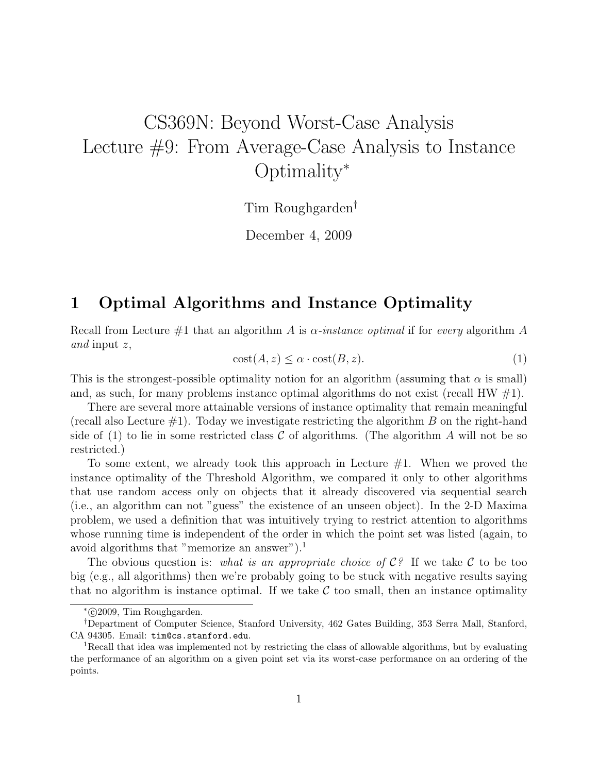# CS369N: Beyond Worst-Case Analysis Lecture #9: From Average-Case Analysis to Instance Optimality<sup>∗</sup>

Tim Roughgarden†

December 4, 2009

## 1 Optimal Algorithms and Instance Optimality

Recall from Lecture  $\#1$  that an algorithm A is  $\alpha$ -instance optimal if for every algorithm A and input z,

$$
cost(A, z) \le \alpha \cdot cost(B, z). \tag{1}
$$

This is the strongest-possible optimality notion for an algorithm (assuming that  $\alpha$  is small) and, as such, for many problems instance optimal algorithms do not exist (recall HW  $\#1$ ).

There are several more attainable versions of instance optimality that remain meaningful (recall also Lecture  $\#1$ ). Today we investigate restricting the algorithm B on the right-hand side of (1) to lie in some restricted class C of algorithms. (The algorithm A will not be so restricted.)

To some extent, we already took this approach in Lecture #1. When we proved the instance optimality of the Threshold Algorithm, we compared it only to other algorithms that use random access only on objects that it already discovered via sequential search (i.e., an algorithm can not "guess" the existence of an unseen object). In the 2-D Maxima problem, we used a definition that was intuitively trying to restrict attention to algorithms whose running time is independent of the order in which the point set was listed (again, to avoid algorithms that "memorize an answer").<sup>1</sup>

The obvious question is: what is an appropriate choice of  $\mathcal{C}^{\circ}$ . If we take C to be too big (e.g., all algorithms) then we're probably going to be stuck with negative results saying that no algorithm is instance optimal. If we take  $\mathcal C$  too small, then an instance optimality

<sup>∗</sup> c 2009, Tim Roughgarden.

<sup>†</sup>Department of Computer Science, Stanford University, 462 Gates Building, 353 Serra Mall, Stanford, CA 94305. Email: tim@cs.stanford.edu.

<sup>&</sup>lt;sup>1</sup>Recall that idea was implemented not by restricting the class of allowable algorithms, but by evaluating the performance of an algorithm on a given point set via its worst-case performance on an ordering of the points.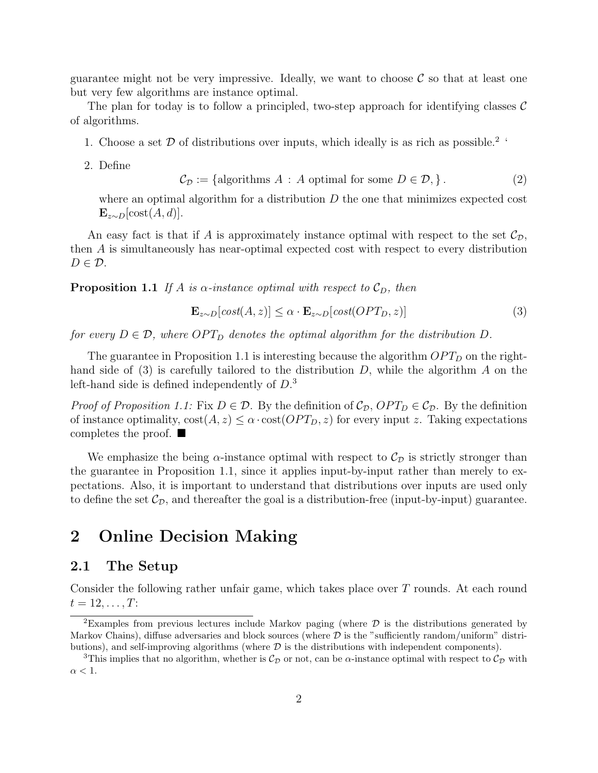guarantee might not be very impressive. Ideally, we want to choose  $\mathcal C$  so that at least one but very few algorithms are instance optimal.

The plan for today is to follow a principled, two-step approach for identifying classes  $\mathcal{C}$ of algorithms.

- 1. Choose a set  $D$  of distributions over inputs, which ideally is as rich as possible.<sup>2</sup> '
- 2. Define

$$
C_{\mathcal{D}} := \{ \text{algorithms } A : A \text{ optimal for some } D \in \mathcal{D}, \}.
$$
 (2)

where an optimal algorithm for a distribution  $D$  the one that minimizes expected cost  $\mathbf{E}_{z\sim D}[\text{cost}(A, d)].$ 

An easy fact is that if A is approximately instance optimal with respect to the set  $\mathcal{C}_{\mathcal{D}}$ , then A is simultaneously has near-optimal expected cost with respect to every distribution  $D \in \mathcal{D}$ .

**Proposition 1.1** If A is  $\alpha$ -instance optimal with respect to  $\mathcal{C}_D$ , then

$$
\mathbf{E}_{z \sim D}[\text{cost}(A, z)] \le \alpha \cdot \mathbf{E}_{z \sim D}[\text{cost}(OPT_D, z)] \tag{3}
$$

for every  $D \in \mathcal{D}$ , where  $OPT_D$  denotes the optimal algorithm for the distribution D.

The guarantee in Proposition 1.1 is interesting because the algorithm  $OPT_D$  on the righthand side of  $(3)$  is carefully tailored to the distribution D, while the algorithm A on the left-hand side is defined independently of D. 3

*Proof of Proposition 1.1:* Fix  $D \in \mathcal{D}$ . By the definition of  $\mathcal{C}_{\mathcal{D}}$ ,  $OPT_D \in \mathcal{C}_{\mathcal{D}}$ . By the definition of instance optimality,  $\text{cost}(A, z) \leq \alpha \cdot \text{cost}(OPT_D, z)$  for every input z. Taking expectations completes the proof.  $\blacksquare$ 

We emphasize the being  $\alpha$ -instance optimal with respect to  $\mathcal{C}_{\mathcal{D}}$  is strictly stronger than the guarantee in Proposition 1.1, since it applies input-by-input rather than merely to expectations. Also, it is important to understand that distributions over inputs are used only to define the set  $\mathcal{C}_{\mathcal{D}}$ , and thereafter the goal is a distribution-free (input-by-input) guarantee.

## 2 Online Decision Making

#### 2.1 The Setup

Consider the following rather unfair game, which takes place over T rounds. At each round  $t = 12, \ldots, T$ :

<sup>&</sup>lt;sup>2</sup>Examples from previous lectures include Markov paging (where  $\mathcal D$  is the distributions generated by Markov Chains), diffuse adversaries and block sources (where  $\mathcal D$  is the "sufficiently random/uniform" distributions), and self-improving algorithms (where  $\mathcal D$  is the distributions with independent components).

<sup>&</sup>lt;sup>3</sup>This implies that no algorithm, whether is  $C_{\mathcal{D}}$  or not, can be  $\alpha$ -instance optimal with respect to  $C_{\mathcal{D}}$  with  $\alpha < 1$ .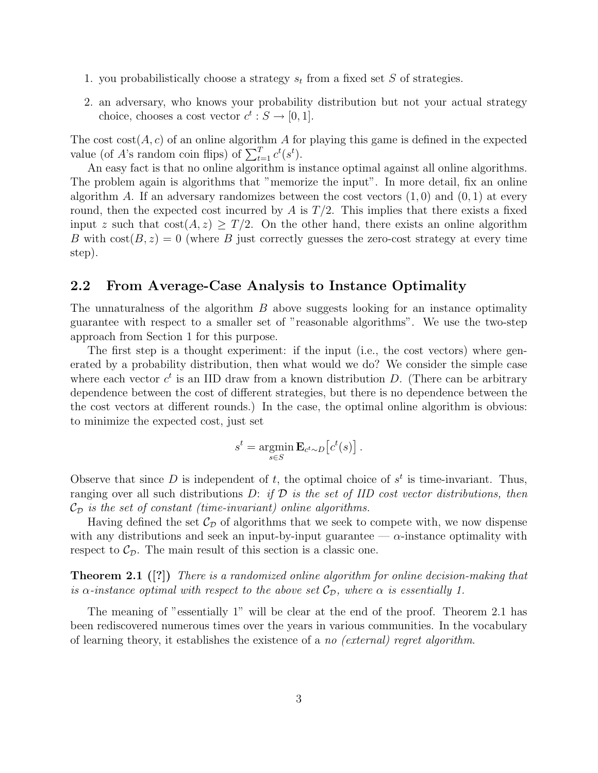- 1. you probabilistically choose a strategy  $s_t$  from a fixed set S of strategies.
- 2. an adversary, who knows your probability distribution but not your actual strategy choice, chooses a cost vector  $c^t : S \to [0, 1]$ .

The cost  $cost(A, c)$  of an online algorithm A for playing this game is defined in the expected value (of A's random coin flips) of  $\sum_{t=1}^{T} c^{t}(s^{t})$ .

An easy fact is that no online algorithm is instance optimal against all online algorithms. The problem again is algorithms that "memorize the input". In more detail, fix an online algorithm A. If an adversary randomizes between the cost vectors  $(1, 0)$  and  $(0, 1)$  at every round, then the expected cost incurred by A is  $T/2$ . This implies that there exists a fixed input z such that  $\text{cost}(A, z) \geq T/2$ . On the other hand, there exists an online algorithm B with  $\text{cost}(B, z) = 0$  (where B just correctly guesses the zero-cost strategy at every time step).

#### 2.2 From Average-Case Analysis to Instance Optimality

The unnaturalness of the algorithm  $B$  above suggests looking for an instance optimality guarantee with respect to a smaller set of "reasonable algorithms". We use the two-step approach from Section 1 for this purpose.

The first step is a thought experiment: if the input (i.e., the cost vectors) where generated by a probability distribution, then what would we do? We consider the simple case where each vector  $c^t$  is an IID draw from a known distribution D. (There can be arbitrary dependence between the cost of different strategies, but there is no dependence between the the cost vectors at different rounds.) In the case, the optimal online algorithm is obvious: to minimize the expected cost, just set

$$
s^{t} = \operatorname*{argmin}_{s \in S} \mathbf{E}_{c^{t} \sim D} [c^{t}(s)].
$$

Observe that since D is independent of t, the optimal choice of  $s<sup>t</sup>$  is time-invariant. Thus, ranging over all such distributions  $D:$  if  $D$  is the set of IID cost vector distributions, then  $\mathcal{C}_{\mathcal{D}}$  is the set of constant (time-invariant) online algorithms.

Having defined the set  $\mathcal{C}_{\mathcal{D}}$  of algorithms that we seek to compete with, we now dispense with any distributions and seek an input-by-input guarantee —  $\alpha$ -instance optimality with respect to  $\mathcal{C}_{\mathcal{D}}$ . The main result of this section is a classic one.

**Theorem 2.1** ([?]) There is a randomized online algorithm for online decision-making that is  $\alpha$ -instance optimal with respect to the above set  $\mathcal{C}_{\mathcal{D}}$ , where  $\alpha$  is essentially 1.

The meaning of "essentially 1" will be clear at the end of the proof. Theorem 2.1 has been rediscovered numerous times over the years in various communities. In the vocabulary of learning theory, it establishes the existence of a no (external) regret algorithm.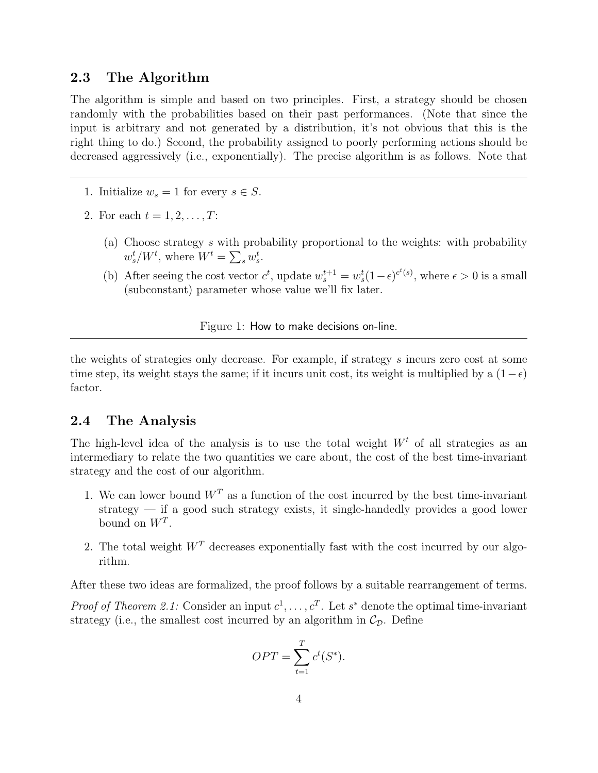#### 2.3 The Algorithm

The algorithm is simple and based on two principles. First, a strategy should be chosen randomly with the probabilities based on their past performances. (Note that since the input is arbitrary and not generated by a distribution, it's not obvious that this is the right thing to do.) Second, the probability assigned to poorly performing actions should be decreased aggressively (i.e., exponentially). The precise algorithm is as follows. Note that

- 1. Initialize  $w_s = 1$  for every  $s \in S$ .
- 2. For each  $t = 1, 2, ..., T$ :
	- (a) Choose strategy s with probability proportional to the weights: with probability  $w_s^t/W^t$ , where  $W^t = \sum_s w_s^t$ .
	- (b) After seeing the cost vector  $c^t$ , update  $w_s^{t+1} = w_s^t (1 \epsilon)^{c^t(s)}$ , where  $\epsilon > 0$  is a small (subconstant) parameter whose value we'll fix later.

#### Figure 1: How to make decisions on-line.

the weights of strategies only decrease. For example, if strategy s incurs zero cost at some time step, its weight stays the same; if it incurs unit cost, its weight is multiplied by a  $(1-\epsilon)$ factor.

#### 2.4 The Analysis

The high-level idea of the analysis is to use the total weight  $W<sup>t</sup>$  of all strategies as an intermediary to relate the two quantities we care about, the cost of the best time-invariant strategy and the cost of our algorithm.

- 1. We can lower bound  $W<sup>T</sup>$  as a function of the cost incurred by the best time-invariant strategy — if a good such strategy exists, it single-handedly provides a good lower bound on  $W^T$ .
- 2. The total weight  $W<sup>T</sup>$  decreases exponentially fast with the cost incurred by our algorithm.

After these two ideas are formalized, the proof follows by a suitable rearrangement of terms.

*Proof of Theorem 2.1:* Consider an input  $c^1, \ldots, c^T$ . Let s<sup>\*</sup> denote the optimal time-invariant strategy (i.e., the smallest cost incurred by an algorithm in  $\mathcal{C}_{\mathcal{D}}$ . Define

$$
OPT = \sum_{t=1}^{T} c^t(S^*).
$$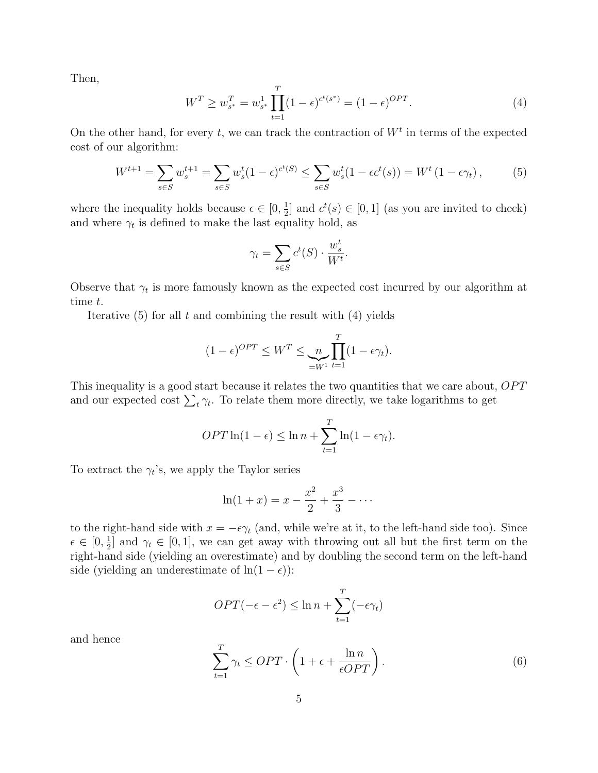Then,

$$
W^T \ge w_{s^*}^T = w_{s^*}^1 \prod_{t=1}^T (1 - \epsilon)^{c^t(s^*)} = (1 - \epsilon)^{OPT}.
$$
\n(4)

On the other hand, for every t, we can track the contraction of  $W<sup>t</sup>$  in terms of the expected cost of our algorithm:

$$
W^{t+1} = \sum_{s \in S} w_s^{t+1} = \sum_{s \in S} w_s^t (1 - \epsilon)^{c^t(S)} \le \sum_{s \in S} w_s^t (1 - \epsilon c^t(s)) = W^t (1 - \epsilon \gamma_t), \tag{5}
$$

where the inequality holds because  $\epsilon \in [0, \frac{1}{2}]$  $\frac{1}{2}$  and  $c^t(s) \in [0,1]$  (as you are invited to check) and where  $\gamma_t$  is defined to make the last equality hold, as

$$
\gamma_t = \sum_{s \in S} c^t(S) \cdot \frac{w_s^t}{W^t}.
$$

Observe that  $\gamma_t$  is more famously known as the expected cost incurred by our algorithm at time t.

Iterative  $(5)$  for all t and combining the result with  $(4)$  yields

$$
(1 - \epsilon)^{OPT} \leq W^T \leq \underbrace{n}_{=W^1} \prod_{t=1}^T (1 - \epsilon \gamma_t).
$$

This inequality is a good start because it relates the two quantities that we care about, OPT and our expected cost  $\sum_{t} \gamma_t$ . To relate them more directly, we take logarithms to get

$$
OPT \ln(1 - \epsilon) \leq \ln n + \sum_{t=1}^{T} \ln(1 - \epsilon \gamma_t).
$$

To extract the  $\gamma_t$ 's, we apply the Taylor series

$$
\ln(1+x) = x - \frac{x^2}{2} + \frac{x^3}{3} - \dots
$$

to the right-hand side with  $x = -\epsilon \gamma_t$  (and, while we're at it, to the left-hand side too). Since  $\epsilon \in [0, \frac{1}{2}]$  $\frac{1}{2}$  and  $\gamma_t \in [0,1]$ , we can get away with throwing out all but the first term on the right-hand side (yielding an overestimate) and by doubling the second term on the left-hand side (yielding an underestimate of  $\ln(1 - \epsilon)$ ):

$$
OPT(-\epsilon - \epsilon^2) \le \ln n + \sum_{t=1}^T (-\epsilon \gamma_t)
$$

and hence

$$
\sum_{t=1}^{T} \gamma_t \le OPT \cdot \left( 1 + \epsilon + \frac{\ln n}{\epsilon OPT} \right). \tag{6}
$$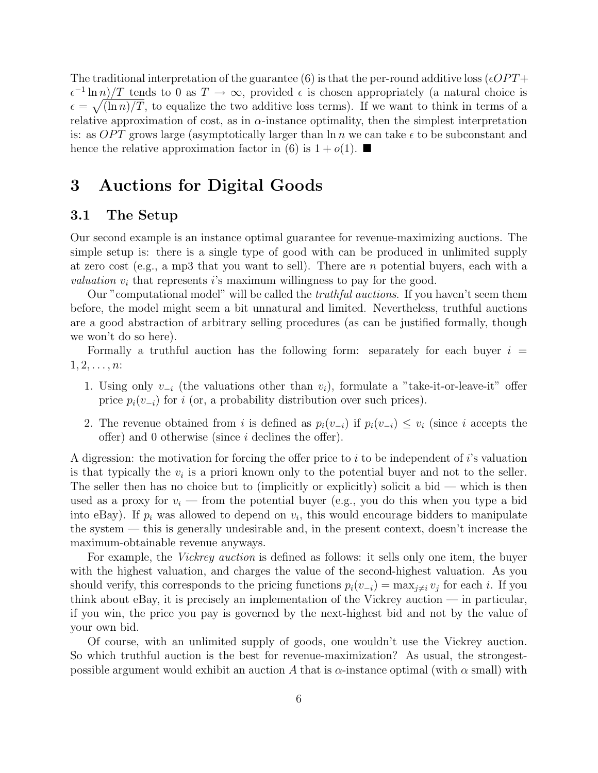The traditional interpretation of the guarantee (6) is that the per-round additive loss ( $\epsilon OPT$ +  $\epsilon^{-1} \ln n / T$  tends to 0 as  $T \to \infty$ , provided  $\epsilon$  is chosen appropriately (a natural choice is  $\epsilon = \sqrt{\ln n / T}$ , to equalize the two additive loss terms). If we want to think in terms of a relative approximation of cost, as in  $\alpha$ -instance optimality, then the simplest interpretation is: as OPT grows large (asymptotically larger than  $\ln n$  we can take  $\epsilon$  to be subconstant and hence the relative approximation factor in (6) is  $1 + o(1)$ .

## 3 Auctions for Digital Goods

### 3.1 The Setup

Our second example is an instance optimal guarantee for revenue-maximizing auctions. The simple setup is: there is a single type of good with can be produced in unlimited supply at zero cost (e.g., a mp3 that you want to sell). There are n potential buyers, each with a *valuation*  $v_i$  that represents is maximum willingness to pay for the good.

Our "computational model" will be called the *truthful auctions*. If you haven't seem them before, the model might seem a bit unnatural and limited. Nevertheless, truthful auctions are a good abstraction of arbitrary selling procedures (as can be justified formally, though we won't do so here).

Formally a truthful auction has the following form: separately for each buyer  $i =$  $1, 2, \ldots, n$ :

- 1. Using only  $v_{-i}$  (the valuations other than  $v_i$ ), formulate a "take-it-or-leave-it" offer price  $p_i(v_{-i})$  for i (or, a probability distribution over such prices).
- 2. The revenue obtained from i is defined as  $p_i(v_{-i})$  if  $p_i(v_{-i}) \leq v_i$  (since i accepts the offer) and 0 otherwise (since i declines the offer).

A digression: the motivation for forcing the offer price to i to be independent of i's valuation is that typically the  $v_i$  is a priori known only to the potential buyer and not to the seller. The seller then has no choice but to (implicitly or explicitly) solicit a bid — which is then used as a proxy for  $v_i$  — from the potential buyer (e.g., you do this when you type a bid into eBay). If  $p_i$  was allowed to depend on  $v_i$ , this would encourage bidders to manipulate the system — this is generally undesirable and, in the present context, doesn't increase the maximum-obtainable revenue anyways.

For example, the *Vickrey auction* is defined as follows: it sells only one item, the buyer with the highest valuation, and charges the value of the second-highest valuation. As you should verify, this corresponds to the pricing functions  $p_i(v_{-i}) = \max_{j \neq i} v_j$  for each i. If you think about eBay, it is precisely an implementation of the Vickrey auction  $-$  in particular, if you win, the price you pay is governed by the next-highest bid and not by the value of your own bid.

Of course, with an unlimited supply of goods, one wouldn't use the Vickrey auction. So which truthful auction is the best for revenue-maximization? As usual, the strongestpossible argument would exhibit an auction A that is  $\alpha$ -instance optimal (with  $\alpha$  small) with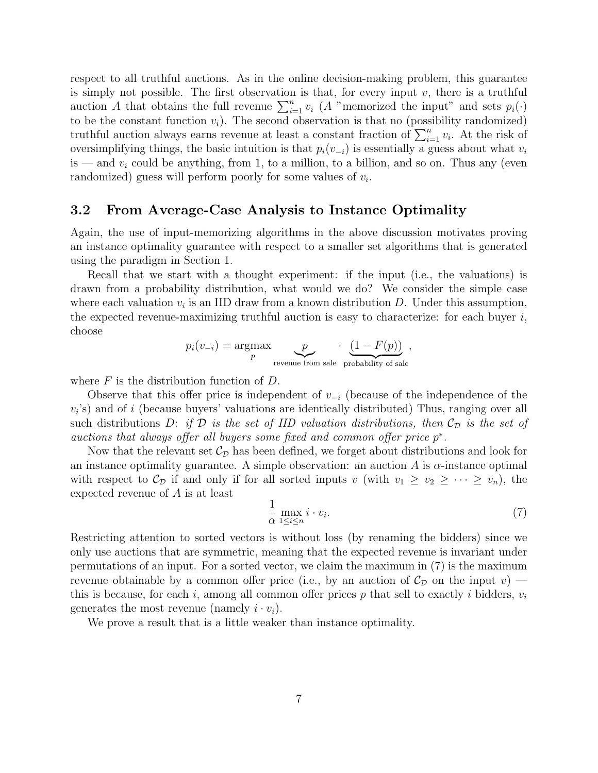respect to all truthful auctions. As in the online decision-making problem, this guarantee is simply not possible. The first observation is that, for every input  $v$ , there is a truthful auction A that obtains the full revenue  $\sum_{i=1}^{n} v_i$  (A "memorized the input" and sets  $p_i(\cdot)$ to be the constant function  $v_i$ ). The second observation is that no (possibility randomized) truthful auction always earns revenue at least a constant fraction of  $\sum_{i=1}^{n} v_i$ . At the risk of oversimplifying things, the basic intuition is that  $p_i(v_{-i})$  is essentially a guess about what  $v_i$ is — and  $v_i$  could be anything, from 1, to a million, to a billion, and so on. Thus any (even randomized) guess will perform poorly for some values of  $v_i$ .

#### 3.2 From Average-Case Analysis to Instance Optimality

Again, the use of input-memorizing algorithms in the above discussion motivates proving an instance optimality guarantee with respect to a smaller set algorithms that is generated using the paradigm in Section 1.

Recall that we start with a thought experiment: if the input (i.e., the valuations) is drawn from a probability distribution, what would we do? We consider the simple case where each valuation  $v_i$  is an IID draw from a known distribution D. Under this assumption, the expected revenue-maximizing truthful auction is easy to characterize: for each buyer  $i$ , choose

$$
p_i(v_{-i}) = \underset{p}{\text{argmax}} \underbrace{p}_{\text{revenue from sale probability of sale}}
$$

where  $F$  is the distribution function of  $D$ .

Observe that this offer price is independent of  $v_{-i}$  (because of the independence of the  $v_i$ 's) and of i (because buyers' valuations are identically distributed) Thus, ranging over all such distributions D: if  $\mathcal D$  is the set of IID valuation distributions, then  $\mathcal C_{\mathcal D}$  is the set of auctions that always offer all buyers some fixed and common offer price  $p^*$ .

Now that the relevant set  $\mathcal{C}_{\mathcal{D}}$  has been defined, we forget about distributions and look for an instance optimality guarantee. A simple observation: an auction A is  $\alpha$ -instance optimal with respect to  $\mathcal{C}_{\mathcal{D}}$  if and only if for all sorted inputs v (with  $v_1 \ge v_2 \ge \cdots \ge v_n$ ), the expected revenue of A is at least

$$
\frac{1}{\alpha} \max_{1 \le i \le n} i \cdot v_i.
$$
 (7)

,

Restricting attention to sorted vectors is without loss (by renaming the bidders) since we only use auctions that are symmetric, meaning that the expected revenue is invariant under permutations of an input. For a sorted vector, we claim the maximum in (7) is the maximum revenue obtainable by a common offer price (i.e., by an auction of  $\mathcal{C}_{\mathcal{D}}$  on the input v) – this is because, for each i, among all common offer prices p that sell to exactly i bidders,  $v_i$ generates the most revenue (namely  $i \cdot v_i$ ).

We prove a result that is a little weaker than instance optimality.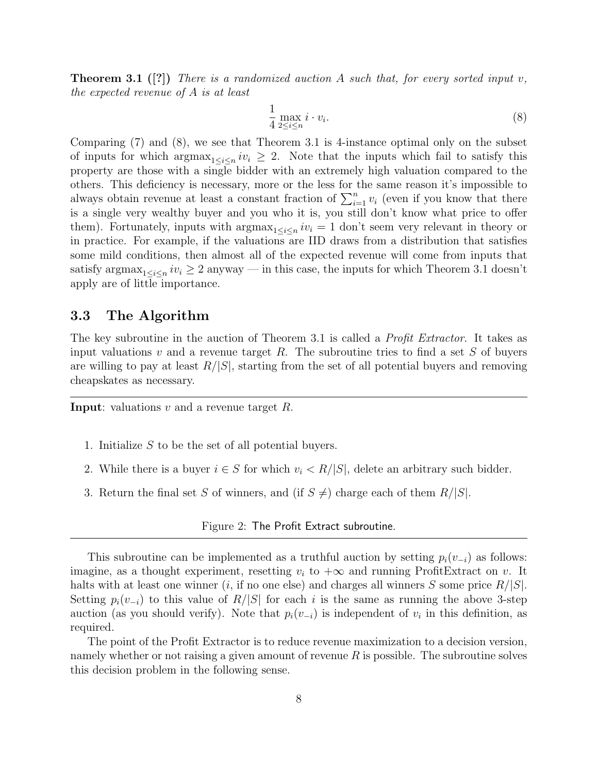**Theorem 3.1** ([?]) There is a randomized auction A such that, for every sorted input v, the expected revenue of A is at least

$$
\frac{1}{4} \max_{2 \le i \le n} i \cdot v_i.
$$
 (8)

Comparing (7) and (8), we see that Theorem 3.1 is 4-instance optimal only on the subset of inputs for which  $\arg\max_{1 \leq i \leq n} iv_i \geq 2$ . Note that the inputs which fail to satisfy this property are those with a single bidder with an extremely high valuation compared to the others. This deficiency is necessary, more or the less for the same reason it's impossible to always obtain revenue at least a constant fraction of  $\sum_{i=1}^{n} v_i$  (even if you know that there is a single very wealthy buyer and you who it is, you still don't know what price to offer them). Fortunately, inputs with  $\arg \max_{1 \leq i \leq n} iv_i = 1$  don't seem very relevant in theory or in practice. For example, if the valuations are IID draws from a distribution that satisfies some mild conditions, then almost all of the expected revenue will come from inputs that satisfy argmax<sub>1≤i≤n</sub>  $iv_i \geq 2$  anyway — in this case, the inputs for which Theorem 3.1 doesn't apply are of little importance.

#### 3.3 The Algorithm

The key subroutine in the auction of Theorem 3.1 is called a *Profit Extractor*. It takes as input valuations v and a revenue target R. The subroutine tries to find a set S of buyers are willing to pay at least  $R/|S|$ , starting from the set of all potential buyers and removing cheapskates as necessary.

**Input:** valuations  $v$  and a revenue target  $R$ .

- 1. Initialize S to be the set of all potential buyers.
- 2. While there is a buyer  $i \in S$  for which  $v_i \langle R/|S|$ , delete an arbitrary such bidder.
- 3. Return the final set S of winners, and (if  $S \neq$ ) charge each of them  $R/|S|$ .

Figure 2: The Profit Extract subroutine.

This subroutine can be implemented as a truthful auction by setting  $p_i(v_{-i})$  as follows: imagine, as a thought experiment, resetting  $v_i$  to  $+\infty$  and running ProfitExtract on v. It halts with at least one winner (*i*, if no one else) and charges all winners S some price  $R/|S|$ . Setting  $p_i(v_{-i})$  to this value of  $R/|S|$  for each i is the same as running the above 3-step auction (as you should verify). Note that  $p_i(v_{-i})$  is independent of  $v_i$  in this definition, as required.

The point of the Profit Extractor is to reduce revenue maximization to a decision version, namely whether or not raising a given amount of revenue  $R$  is possible. The subroutine solves this decision problem in the following sense.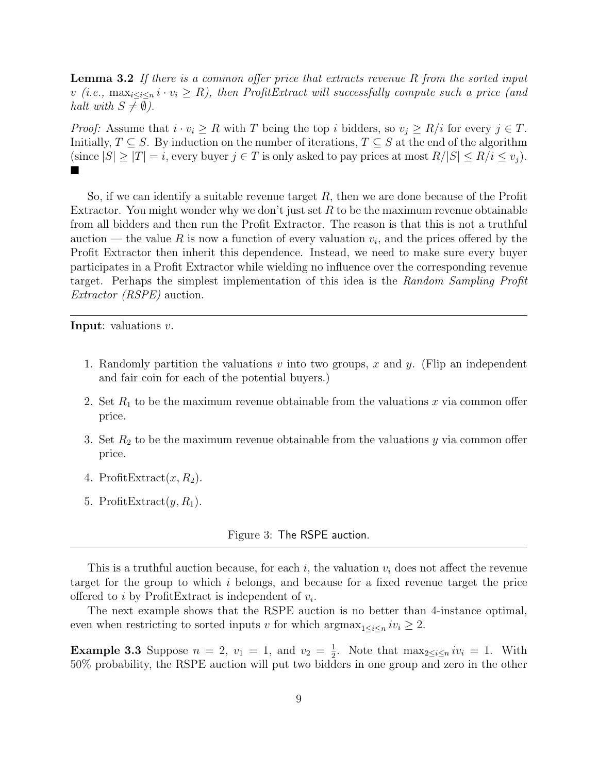**Lemma 3.2** If there is a common offer price that extracts revenue R from the sorted input v (i.e.,  $\max_{i \leq i \leq n} i \cdot v_i \geq R$ ), then ProfitExtract will successfully compute such a price (and halt with  $S \neq \emptyset$ ).

*Proof:* Assume that  $i \cdot v_i \geq R$  with T being the top i bidders, so  $v_j \geq R/i$  for every  $j \in T$ . Initially,  $T \subseteq S$ . By induction on the number of iterations,  $T \subseteq S$  at the end of the algorithm (since  $|S| \geq |T| = i$ , every buyer  $j \in T$  is only asked to pay prices at most  $R/|S| \leq R/i \leq v_i$ ). ▅

So, if we can identify a suitable revenue target  $R$ , then we are done because of the Profit Extractor. You might wonder why we don't just set R to be the maximum revenue obtainable from all bidders and then run the Profit Extractor. The reason is that this is not a truthful auction — the value R is now a function of every valuation  $v_i$ , and the prices offered by the Profit Extractor then inherit this dependence. Instead, we need to make sure every buyer participates in a Profit Extractor while wielding no influence over the corresponding revenue target. Perhaps the simplest implementation of this idea is the Random Sampling Profit Extractor (RSPE) auction.

Input: valuations v.

- 1. Randomly partition the valuations  $v$  into two groups,  $x$  and  $y$ . (Flip an independent and fair coin for each of the potential buyers.)
- 2. Set  $R_1$  to be the maximum revenue obtainable from the valuations x via common offer price.
- 3. Set  $R_2$  to be the maximum revenue obtainable from the valuations y via common offer price.
- 4. ProfitExtract $(x, R_2)$ .
- 5. ProfitExtract $(y, R_1)$ .

Figure 3: The RSPE auction.

This is a truthful auction because, for each i, the valuation  $v_i$  does not affect the revenue target for the group to which i belongs, and because for a fixed revenue target the price offered to *i* by ProfitExtract is independent of  $v_i$ .

The next example shows that the RSPE auction is no better than 4-instance optimal, even when restricting to sorted inputs v for which  $\arg\max_{1 \leq i \leq n} iv_i \geq 2$ .

**Example 3.3** Suppose  $n = 2$ ,  $v_1 = 1$ , and  $v_2 = \frac{1}{2}$  $\frac{1}{2}$ . Note that  $\max_{2 \leq i \leq n} iv_i = 1$ . With 50% probability, the RSPE auction will put two bidders in one group and zero in the other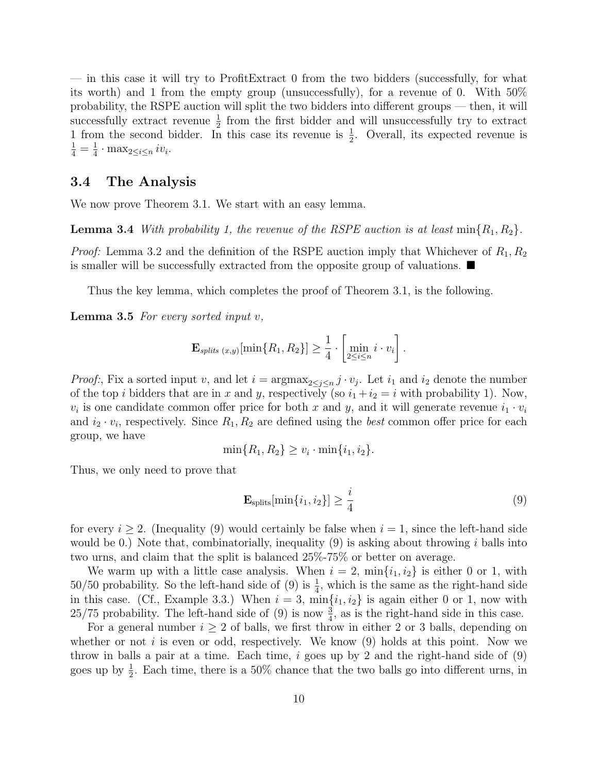— in this case it will try to ProfitExtract 0 from the two bidders (successfully, for what its worth) and 1 from the empty group (unsuccessfully), for a revenue of 0. With 50% probability, the RSPE auction will split the two bidders into different groups — then, it will successfully extract revenue  $\frac{1}{2}$  from the first bidder and will unsuccessfully try to extract 1 from the second bidder. In this case its revenue is  $\frac{1}{2}$ . Overall, its expected revenue is  $\frac{1}{4} = \frac{1}{4}$  $\frac{1}{4} \cdot \max_{2 \leq i \leq n} iv_i.$ 

#### 3.4 The Analysis

We now prove Theorem 3.1. We start with an easy lemma.

**Lemma 3.4** With probability 1, the revenue of the RSPE auction is at least  $\min\{R_1, R_2\}$ .

*Proof:* Lemma 3.2 and the definition of the RSPE auction imply that Whichever of  $R_1, R_2$ is smaller will be successfully extracted from the opposite group of valuations.  $\blacksquare$ 

Thus the key lemma, which completes the proof of Theorem 3.1, is the following.

**Lemma 3.5** For every sorted input  $v$ ,

$$
\mathbf{E}_{splits(x,y)}[\min\{R_1,R_2\}] \geq \frac{1}{4} \cdot \left[\min_{2 \leq i \leq n} i \cdot v_i\right].
$$

*Proof:*, Fix a sorted input v, and let  $i = \argmax_{2 \leq j \leq n} j \cdot v_j$ . Let  $i_1$  and  $i_2$  denote the number of the top i bidders that are in x and y, respectively (so  $i_1 + i_2 = i$  with probability 1). Now,  $v_i$  is one candidate common offer price for both x and y, and it will generate revenue  $i_1 \cdot v_i$ and  $i_2 \cdot v_i$ , respectively. Since  $R_1, R_2$  are defined using the *best* common offer price for each group, we have

$$
\min\{R_1, R_2\} \ge v_i \cdot \min\{i_1, i_2\}.
$$

Thus, we only need to prove that

$$
\mathbf{E}_{\text{splits}}[\min\{i_1, i_2\}] \ge \frac{i}{4} \tag{9}
$$

for every  $i \geq 2$ . (Inequality (9) would certainly be false when  $i = 1$ , since the left-hand side would be 0.) Note that, combinatorially, inequality  $(9)$  is asking about throwing i balls into two urns, and claim that the split is balanced 25%-75% or better on average.

We warm up with a little case analysis. When  $i = 2$ ,  $\min\{i_1, i_2\}$  is either 0 or 1, with 50/50 probability. So the left-hand side of (9) is  $\frac{1}{4}$ , which is the same as the right-hand side in this case. (Cf., Example 3.3.) When  $i = 3$ ,  $\min\{i_1, i_2\}$  is again either 0 or 1, now with 25/75 probability. The left-hand side of (9) is now  $\frac{3}{4}$ , as is the right-hand side in this case.

For a general number  $i \geq 2$  of balls, we first throw in either 2 or 3 balls, depending on whether or not i is even or odd, respectively. We know  $(9)$  holds at this point. Now we throw in balls a pair at a time. Each time,  $i$  goes up by 2 and the right-hand side of  $(9)$ goes up by  $\frac{1}{2}$ . Each time, there is a 50% chance that the two balls go into different urns, in